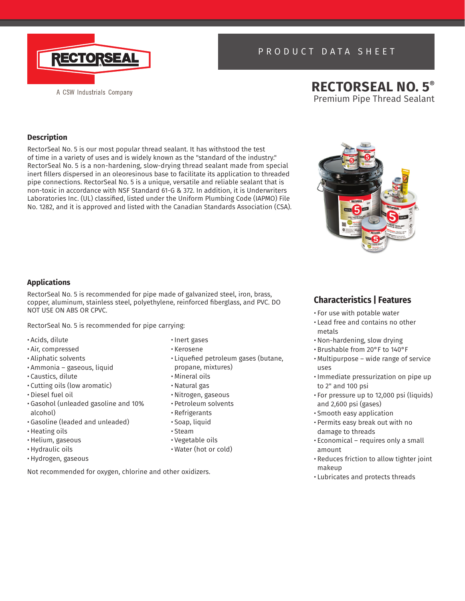

# PRODUCT DATA SHEET

# **RECTORSEAL NO. 5®** Premium Pipe Thread Sealant

# **Description**

RectorSeal No. 5 is our most popular thread sealant. It has withstood the test of time in a variety of uses and is widely known as the "standard of the industry." RectorSeal No. 5 is a non-hardening, slow-drying thread sealant made from special inert fillers dispersed in an oleoresinous base to facilitate its application to threaded pipe connections. RectorSeal No. 5 is a unique, versatile and reliable sealant that is non-toxic in accordance with NSF Standard 61-G & 372. In addition, it is Underwriters Laboratories Inc. (UL) classified, listed under the Uniform Plumbing Code (IAPMO) File No. 1282, and it is approved and listed with the Canadian Standards Association (CSA).

# **Applications**

RectorSeal No. 5 is recommended for pipe made of galvanized steel, iron, brass, copper, aluminum, stainless steel, polyethylene, reinforced fiberglass, and PVC. DO NOT USE ON ABS OR CPVC.

RectorSeal No. 5 is recommended for pipe carrying:

- Acids, dilute
- Air, compressed
- Aliphatic solvents
- Ammonia gaseous, liquid
- Caustics, dilute
- Cutting oils (low aromatic)
- Diesel fuel oil
- Gasohol (unleaded gasoline and 10% alcohol)
- Gasoline (leaded and unleaded)
- Heating oils
- Helium, gaseous
- Hydraulic oils
- Hydrogen, gaseous

Not recommended for oxygen, chlorine and other oxidizers.

- Inert gases
- Kerosene
- Liquefied petroleum gases (butane, propane, mixtures)
- Mineral oils
- Natural gas
- Nitrogen, gaseous
- Petroleum solvents
- Refrigerants
- Soap, liquid
- Steam
- Vegetable oils
- Water (hot or cold)



# **Characteristics | Features**

- For use with potable water
- Lead free and contains no other metals
- Non-hardening, slow drying
- Brushable from 20°F to 140°F
- Multipurpose wide range of service uses
- Immediate pressurization on pipe up to 2" and 100 psi
- For pressure up to 12,000 psi (liquids) and 2,600 psi (gases)
- Smooth easy application
- Permits easy break out with no damage to threads
- Economical requires only a small amount
- Reduces friction to allow tighter joint makeup
- Lubricates and protects threads